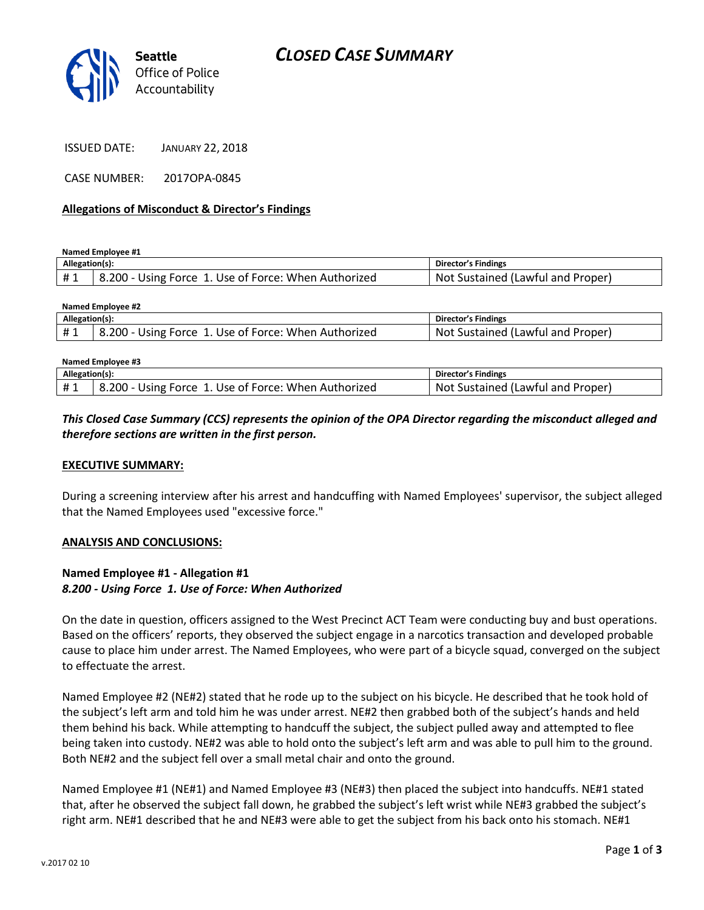

CASE NUMBER: 2017OPA-0845

#### **Allegations of Misconduct & Director's Findings**

**Named Employee #1**

| Allegation(s): |                                                      | Director's Findings               |
|----------------|------------------------------------------------------|-----------------------------------|
| #1             | 8.200 - Using Force 1. Use of Force: When Authorized | Not Sustained (Lawful and Proper) |

| Named Employee #2 |                                                      |                                   |  |  |
|-------------------|------------------------------------------------------|-----------------------------------|--|--|
| Allegation(s):    |                                                      | Director's Findings               |  |  |
| #1                | 8.200 - Using Force 1. Use of Force: When Authorized | Not Sustained (Lawful and Proper) |  |  |
|                   |                                                      |                                   |  |  |

| Named Employee #3 |                                                      |                                   |  |
|-------------------|------------------------------------------------------|-----------------------------------|--|
| Allegation(s):    |                                                      | Director's Findings               |  |
| #1                | 8.200 - Using Force 1. Use of Force: When Authorized | Not Sustained (Lawful and Proper) |  |

### *This Closed Case Summary (CCS) represents the opinion of the OPA Director regarding the misconduct alleged and therefore sections are written in the first person.*

#### **EXECUTIVE SUMMARY:**

During a screening interview after his arrest and handcuffing with Named Employees' supervisor, the subject alleged that the Named Employees used "excessive force."

#### **ANALYSIS AND CONCLUSIONS:**

### **Named Employee #1 - Allegation #1** *8.200 - Using Force 1. Use of Force: When Authorized*

On the date in question, officers assigned to the West Precinct ACT Team were conducting buy and bust operations. Based on the officers' reports, they observed the subject engage in a narcotics transaction and developed probable cause to place him under arrest. The Named Employees, who were part of a bicycle squad, converged on the subject to effectuate the arrest.

Named Employee #2 (NE#2) stated that he rode up to the subject on his bicycle. He described that he took hold of the subject's left arm and told him he was under arrest. NE#2 then grabbed both of the subject's hands and held them behind his back. While attempting to handcuff the subject, the subject pulled away and attempted to flee being taken into custody. NE#2 was able to hold onto the subject's left arm and was able to pull him to the ground. Both NE#2 and the subject fell over a small metal chair and onto the ground.

Named Employee #1 (NE#1) and Named Employee #3 (NE#3) then placed the subject into handcuffs. NE#1 stated that, after he observed the subject fall down, he grabbed the subject's left wrist while NE#3 grabbed the subject's right arm. NE#1 described that he and NE#3 were able to get the subject from his back onto his stomach. NE#1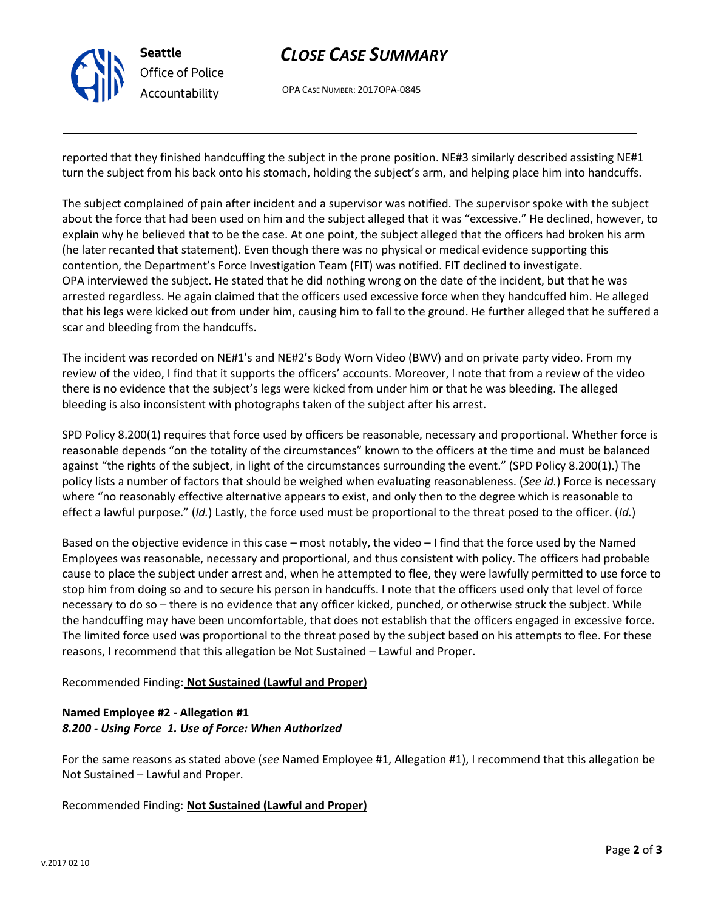

# *CLOSE CASE SUMMARY*

OPA CASE NUMBER: 2017OPA-0845

reported that they finished handcuffing the subject in the prone position. NE#3 similarly described assisting NE#1 turn the subject from his back onto his stomach, holding the subject's arm, and helping place him into handcuffs.

The subject complained of pain after incident and a supervisor was notified. The supervisor spoke with the subject about the force that had been used on him and the subject alleged that it was "excessive." He declined, however, to explain why he believed that to be the case. At one point, the subject alleged that the officers had broken his arm (he later recanted that statement). Even though there was no physical or medical evidence supporting this contention, the Department's Force Investigation Team (FIT) was notified. FIT declined to investigate. OPA interviewed the subject. He stated that he did nothing wrong on the date of the incident, but that he was arrested regardless. He again claimed that the officers used excessive force when they handcuffed him. He alleged that his legs were kicked out from under him, causing him to fall to the ground. He further alleged that he suffered a scar and bleeding from the handcuffs.

The incident was recorded on NE#1's and NE#2's Body Worn Video (BWV) and on private party video. From my review of the video, I find that it supports the officers' accounts. Moreover, I note that from a review of the video there is no evidence that the subject's legs were kicked from under him or that he was bleeding. The alleged bleeding is also inconsistent with photographs taken of the subject after his arrest.

SPD Policy 8.200(1) requires that force used by officers be reasonable, necessary and proportional. Whether force is reasonable depends "on the totality of the circumstances" known to the officers at the time and must be balanced against "the rights of the subject, in light of the circumstances surrounding the event." (SPD Policy 8.200(1).) The policy lists a number of factors that should be weighed when evaluating reasonableness. (*See id.*) Force is necessary where "no reasonably effective alternative appears to exist, and only then to the degree which is reasonable to effect a lawful purpose." (*Id.*) Lastly, the force used must be proportional to the threat posed to the officer. (*Id.*)

Based on the objective evidence in this case – most notably, the video – I find that the force used by the Named Employees was reasonable, necessary and proportional, and thus consistent with policy. The officers had probable cause to place the subject under arrest and, when he attempted to flee, they were lawfully permitted to use force to stop him from doing so and to secure his person in handcuffs. I note that the officers used only that level of force necessary to do so – there is no evidence that any officer kicked, punched, or otherwise struck the subject. While the handcuffing may have been uncomfortable, that does not establish that the officers engaged in excessive force. The limited force used was proportional to the threat posed by the subject based on his attempts to flee. For these reasons, I recommend that this allegation be Not Sustained – Lawful and Proper.

### Recommended Finding: **Not Sustained (Lawful and Proper)**

#### **Named Employee #2 - Allegation #1** *8.200 - Using Force 1. Use of Force: When Authorized*

For the same reasons as stated above (*see* Named Employee #1, Allegation #1), I recommend that this allegation be Not Sustained – Lawful and Proper.

### Recommended Finding: **Not Sustained (Lawful and Proper)**